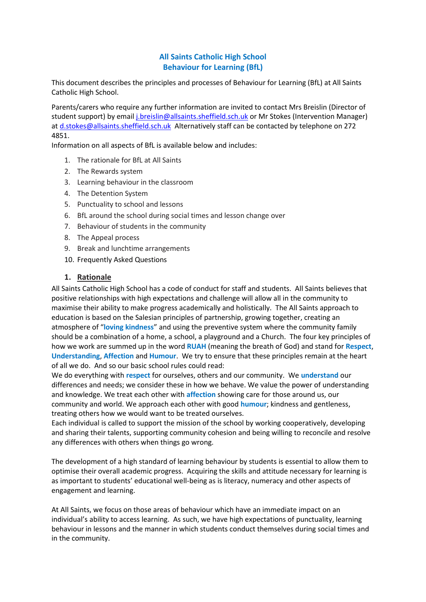### **All Saints Catholic High School Behaviour for Learning (BfL)**

This document describes the principles and processes of Behaviour for Learning (BfL) at All Saints Catholic High School.

Parents/carers who require any further information are invited to contact Mrs Breislin (Director of student support) by email [j.breislin@allsaints.sheffield.sch.uk](mailto:j.breislin@allsaints.sheffield.sch.uk) or Mr Stokes (Intervention Manager) a[t d.stokes@allsaints.sheffield.sch.uk](mailto:d.stokes@allsaints.sheffield.sch.uk) Alternatively staff can be contacted by telephone on 272 4851.

Information on all aspects of BfL is available below and includes:

- 1. The rationale for BfL at All Saints
- 2. The Rewards system
- 3. Learning behaviour in the classroom
- 4. The Detention System
- 5. Punctuality to school and lessons
- 6. BfL around the school during social times and lesson change over
- 7. Behaviour of students in the community
- 8. The Appeal process
- 9. Break and lunchtime arrangements
- 10. Frequently Asked Questions

#### **1. Rationale**

All Saints Catholic High School has a code of conduct for staff and students. All Saints believes that positive relationships with high expectations and challenge will allow all in the community to maximise their ability to make progress academically and holistically. The All Saints approach to education is based on the Salesian principles of partnership, growing together, creating an atmosphere of "**loving kindness**" and using the preventive system where the community family should be a combination of a home, a school, a playground and a Church. The four key principles of how we work are summed up in the word **RUAH** (meaning the breath of God) and stand for **Respect**, **Understanding**, **Affection** and **Humour**. We try to ensure that these principles remain at the heart of all we do. And so our basic school rules could read:

We do everything with **respect** for ourselves, others and our community. We **understand** our differences and needs; we consider these in how we behave. We value the power of understanding and knowledge. We treat each other with **affection** showing care for those around us, our community and world. We approach each other with good **humour**; kindness and gentleness, treating others how we would want to be treated ourselves.

Each individual is called to support the mission of the school by working cooperatively, developing and sharing their talents, supporting community cohesion and being willing to reconcile and resolve any differences with others when things go wrong.

The development of a high standard of learning behaviour by students is essential to allow them to optimise their overall academic progress. Acquiring the skills and attitude necessary for learning is as important to students' educational well-being as is literacy, numeracy and other aspects of engagement and learning.

At All Saints, we focus on those areas of behaviour which have an immediate impact on an individual's ability to access learning. As such, we have high expectations of punctuality, learning behaviour in lessons and the manner in which students conduct themselves during social times and in the community.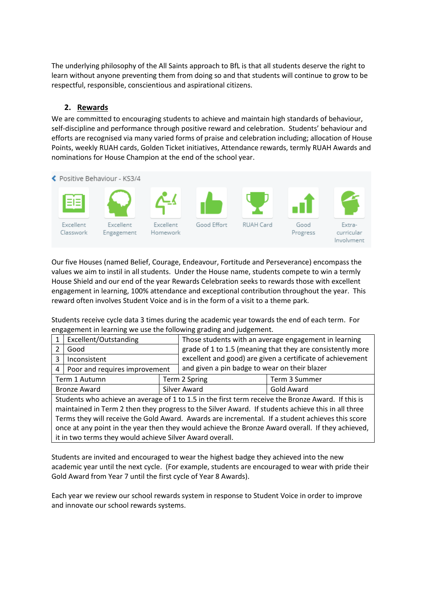The underlying philosophy of the All Saints approach to BfL is that all students deserve the right to learn without anyone preventing them from doing so and that students will continue to grow to be respectful, responsible, conscientious and aspirational citizens.

### **2. Rewards**

We are committed to encouraging students to achieve and maintain high standards of behaviour, self-discipline and performance through positive reward and celebration. Students' behaviour and efforts are recognised via many varied forms of praise and celebration including; allocation of House Points, weekly RUAH cards, Golden Ticket initiatives, Attendance rewards, termly RUAH Awards and nominations for House Champion at the end of the school year.



Our five Houses (named Belief, Courage, Endeavour, Fortitude and Perseverance) encompass the values we aim to instil in all students. Under the House name, students compete to win a termly House Shield and our end of the year Rewards Celebration seeks to rewards those with excellent engagement in learning, 100% attendance and exceptional contribution throughout the year. This reward often involves Student Voice and is in the form of a visit to a theme park.

Students receive cycle data 3 times during the academic year towards the end of each term. For engagement in learning we use the following grading and judgement.

|                                                                                                    | Excellent/Outstanding                                    |  | Those students with an average engagement in learning      |               |  |  |  |  |
|----------------------------------------------------------------------------------------------------|----------------------------------------------------------|--|------------------------------------------------------------|---------------|--|--|--|--|
|                                                                                                    | Good                                                     |  | grade of 1 to 1.5 (meaning that they are consistently more |               |  |  |  |  |
| 3                                                                                                  | Inconsistent                                             |  | excellent and good) are given a certificate of achievement |               |  |  |  |  |
| 4                                                                                                  | Poor and requires improvement                            |  | and given a pin badge to wear on their blazer              |               |  |  |  |  |
| Term 1 Autumn                                                                                      |                                                          |  | Term 2 Spring                                              | Term 3 Summer |  |  |  |  |
| <b>Bronze Award</b>                                                                                |                                                          |  | <b>Silver Award</b>                                        | Gold Award    |  |  |  |  |
| Students who achieve an average of 1 to 1.5 in the first term receive the Bronze Award. If this is |                                                          |  |                                                            |               |  |  |  |  |
| maintained in Term 2 then they progress to the Silver Award. If students achieve this in all three |                                                          |  |                                                            |               |  |  |  |  |
| Terms they will receive the Gold Award. Awards are incremental. If a student achieves this score   |                                                          |  |                                                            |               |  |  |  |  |
| once at any point in the year then they would achieve the Bronze Award overall. If they achieved,  |                                                          |  |                                                            |               |  |  |  |  |
|                                                                                                    | it in two terms they would achieve Silver Award overall. |  |                                                            |               |  |  |  |  |

Students are invited and encouraged to wear the highest badge they achieved into the new academic year until the next cycle. (For example, students are encouraged to wear with pride their Gold Award from Year 7 until the first cycle of Year 8 Awards).

Each year we review our school rewards system in response to Student Voice in order to improve and innovate our school rewards systems.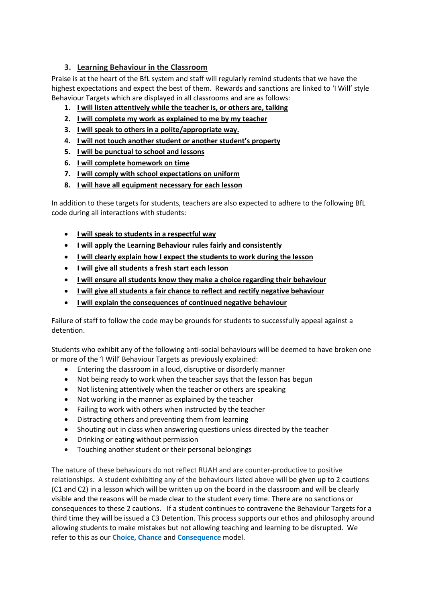# **3. Learning Behaviour in the Classroom**

Praise is at the heart of the BfL system and staff will regularly remind students that we have the highest expectations and expect the best of them. Rewards and sanctions are linked to 'I Will' style Behaviour Targets which are displayed in all classrooms and are as follows:

- **1. I will listen attentively while the teacher is, or others are, talking**
- **2. I will complete my work as explained to me by my teacher**
- **3. I will speak to others in a polite/appropriate way.**
- **4. I will not touch another student or another student's property**
- **5. I will be punctual to school and lessons**
- **6. I will complete homework on time**
- **7. I will comply with school expectations on uniform**
- **8. I will have all equipment necessary for each lesson**

In addition to these targets for students, teachers are also expected to adhere to the following BfL code during all interactions with students:

- **I will speak to students in a respectful way**
- **I will apply the Learning Behaviour rules fairly and consistently**
- **I will clearly explain how I expect the students to work during the lesson**
- **I will give all students a fresh start each lesson**
- **I will ensure all students know they make a choice regarding their behaviour**
- **I will give all students a fair chance to reflect and rectify negative behaviour**
- **I will explain the consequences of continued negative behaviour**

Failure of staff to follow the code may be grounds for students to successfully appeal against a detention.

Students who exhibit any of the following anti-social behaviours will be deemed to have broken one or more of the 'I Will' Behaviour Targets as previously explained:

- Entering the classroom in a loud, disruptive or disorderly manner
- Not being ready to work when the teacher says that the lesson has begun
- Not listening attentively when the teacher or others are speaking
- Not working in the manner as explained by the teacher
- Failing to work with others when instructed by the teacher
- Distracting others and preventing them from learning
- Shouting out in class when answering questions unless directed by the teacher
- Drinking or eating without permission
- Touching another student or their personal belongings

The nature of these behaviours do not reflect RUAH and are counter-productive to positive relationships. A student exhibiting any of the behaviours listed above will be given up to 2 cautions (C1 and C2) in a lesson which will be written up on the board in the classroom and will be clearly visible and the reasons will be made clear to the student every time. There are no sanctions or consequences to these 2 cautions. If a student continues to contravene the Behaviour Targets for a third time they will be issued a C3 Detention. This process supports our ethos and philosophy around allowing students to make mistakes but not allowing teaching and learning to be disrupted. We refer to this as our **Choice, Chance** and **Consequence** model.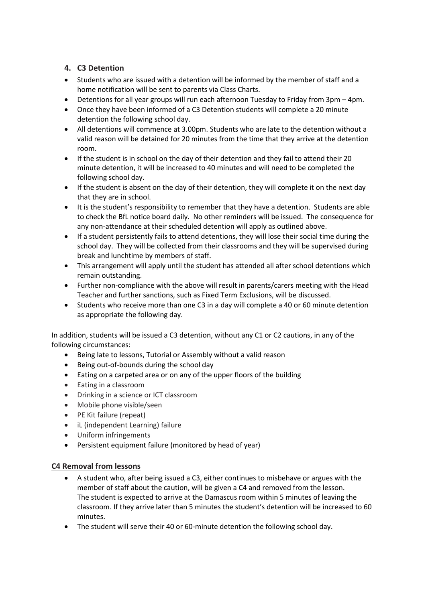# **4. C3 Detention**

- Students who are issued with a detention will be informed by the member of staff and a home notification will be sent to parents via Class Charts.
- Detentions for all year groups will run each afternoon Tuesday to Friday from 3pm 4pm.
- Once they have been informed of a C3 Detention students will complete a 20 minute detention the following school day.
- All detentions will commence at 3.00pm. Students who are late to the detention without a valid reason will be detained for 20 minutes from the time that they arrive at the detention room.
- If the student is in school on the day of their detention and they fail to attend their 20 minute detention, it will be increased to 40 minutes and will need to be completed the following school day.
- If the student is absent on the day of their detention, they will complete it on the next day that they are in school.
- It is the student's responsibility to remember that they have a detention. Students are able to check the BfL notice board daily. No other reminders will be issued. The consequence for any non-attendance at their scheduled detention will apply as outlined above.
- If a student persistently fails to attend detentions, they will lose their social time during the school day. They will be collected from their classrooms and they will be supervised during break and lunchtime by members of staff.
- This arrangement will apply until the student has attended all after school detentions which remain outstanding.
- Further non-compliance with the above will result in parents/carers meeting with the Head Teacher and further sanctions, such as Fixed Term Exclusions, will be discussed.
- Students who receive more than one C3 in a day will complete a 40 or 60 minute detention as appropriate the following day.

In addition, students will be issued a C3 detention, without any C1 or C2 cautions, in any of the following circumstances:

- Being late to lessons, Tutorial or Assembly without a valid reason
- Being out-of-bounds during the school day
- Eating on a carpeted area or on any of the upper floors of the building
- Eating in a classroom
- Drinking in a science or ICT classroom
- Mobile phone visible/seen
- PE Kit failure (repeat)
- iL (independent Learning) failure
- Uniform infringements
- Persistent equipment failure (monitored by head of year)

### **C4 Removal from lessons**

- A student who, after being issued a C3, either continues to misbehave or argues with the member of staff about the caution, will be given a C4 and removed from the lesson. The student is expected to arrive at the Damascus room within 5 minutes of leaving the classroom. If they arrive later than 5 minutes the student's detention will be increased to 60 minutes.
- The student will serve their 40 or 60-minute detention the following school day.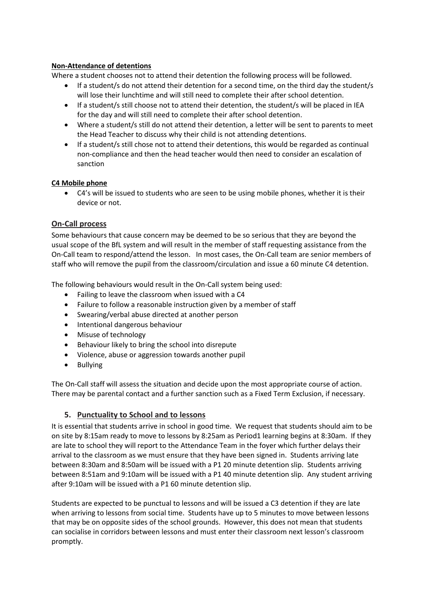### **Non-Attendance of detentions**

Where a student chooses not to attend their detention the following process will be followed.

- If a student/s do not attend their detention for a second time, on the third day the student/s will lose their lunchtime and will still need to complete their after school detention.
- If a student/s still choose not to attend their detention, the student/s will be placed in IEA for the day and will still need to complete their after school detention.
- Where a student/s still do not attend their detention, a letter will be sent to parents to meet the Head Teacher to discuss why their child is not attending detentions.
- If a student/s still chose not to attend their detentions, this would be regarded as continual non-compliance and then the head teacher would then need to consider an escalation of sanction

#### **C4 Mobile phone**

• C4's will be issued to students who are seen to be using mobile phones, whether it is their device or not.

### **On-Call process**

Some behaviours that cause concern may be deemed to be so serious that they are beyond the usual scope of the BfL system and will result in the member of staff requesting assistance from the On-Call team to respond/attend the lesson. In most cases, the On-Call team are senior members of staff who will remove the pupil from the classroom/circulation and issue a 60 minute C4 detention.

The following behaviours would result in the On-Call system being used:

- Failing to leave the classroom when issued with a C4
- Failure to follow a reasonable instruction given by a member of staff
- Swearing/verbal abuse directed at another person
- Intentional dangerous behaviour
- Misuse of technology
- Behaviour likely to bring the school into disrepute
- Violence, abuse or aggression towards another pupil
- Bullying

The On-Call staff will assess the situation and decide upon the most appropriate course of action. There may be parental contact and a further sanction such as a Fixed Term Exclusion, if necessary.

### **5. Punctuality to School and to lessons**

It is essential that students arrive in school in good time. We request that students should aim to be on site by 8:15am ready to move to lessons by 8:25am as Period1 learning begins at 8:30am. If they are late to school they will report to the Attendance Team in the foyer which further delays their arrival to the classroom as we must ensure that they have been signed in. Students arriving late between 8:30am and 8:50am will be issued with a P1 20 minute detention slip. Students arriving between 8:51am and 9:10am will be issued with a P1 40 minute detention slip. Any student arriving after 9:10am will be issued with a P1 60 minute detention slip.

Students are expected to be punctual to lessons and will be issued a C3 detention if they are late when arriving to lessons from social time. Students have up to 5 minutes to move between lessons that may be on opposite sides of the school grounds. However, this does not mean that students can socialise in corridors between lessons and must enter their classroom next lesson's classroom promptly.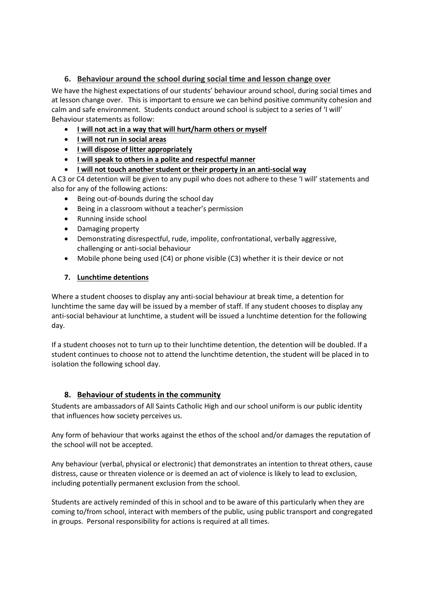## **6. Behaviour around the school during social time and lesson change over**

We have the highest expectations of our students' behaviour around school, during social times and at lesson change over. This is important to ensure we can behind positive community cohesion and calm and safe environment. Students conduct around school is subject to a series of 'I will' Behaviour statements as follow:

- **I will not act in a way that will hurt/harm others or myself**
- **I will not run in social areas**
- **I will dispose of litter appropriately**
- **I will speak to others in a polite and respectful manner**
- **I will not touch another student or their property in an anti-social way**

A C3 or C4 detention will be given to any pupil who does not adhere to these 'I will' statements and also for any of the following actions:

- Being out-of-bounds during the school day
- Being in a classroom without a teacher's permission
- Running inside school
- Damaging property
- Demonstrating disrespectful, rude, impolite, confrontational, verbally aggressive, challenging or anti-social behaviour
- Mobile phone being used (C4) or phone visible (C3) whether it is their device or not

### **7. Lunchtime detentions**

Where a student chooses to display any anti-social behaviour at break time, a detention for lunchtime the same day will be issued by a member of staff. If any student chooses to display any anti-social behaviour at lunchtime, a student will be issued a lunchtime detention for the following day.

If a student chooses not to turn up to their lunchtime detention, the detention will be doubled. If a student continues to choose not to attend the lunchtime detention, the student will be placed in to isolation the following school day.

### **8. Behaviour of students in the community**

Students are ambassadors of All Saints Catholic High and our school uniform is our public identity that influences how society perceives us.

Any form of behaviour that works against the ethos of the school and/or damages the reputation of the school will not be accepted.

Any behaviour (verbal, physical or electronic) that demonstrates an intention to threat others, cause distress, cause or threaten violence or is deemed an act of violence is likely to lead to exclusion, including potentially permanent exclusion from the school.

Students are actively reminded of this in school and to be aware of this particularly when they are coming to/from school, interact with members of the public, using public transport and congregated in groups. Personal responsibility for actions is required at all times.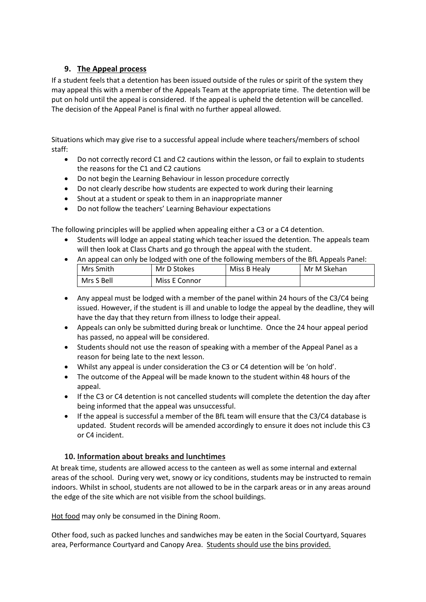# **9. The Appeal process**

If a student feels that a detention has been issued outside of the rules or spirit of the system they may appeal this with a member of the Appeals Team at the appropriate time. The detention will be put on hold until the appeal is considered. If the appeal is upheld the detention will be cancelled. The decision of the Appeal Panel is final with no further appeal allowed.

Situations which may give rise to a successful appeal include where teachers/members of school staff:

- Do not correctly record C1 and C2 cautions within the lesson, or fail to explain to students the reasons for the C1 and C2 cautions
- Do not begin the Learning Behaviour in lesson procedure correctly
- Do not clearly describe how students are expected to work during their learning
- Shout at a student or speak to them in an inappropriate manner
- Do not follow the teachers' Learning Behaviour expectations

The following principles will be applied when appealing either a C3 or a C4 detention.

- Students will lodge an appeal stating which teacher issued the detention. The appeals team will then look at Class Charts and go through the appeal with the student.
- An appeal can only be lodged with one of the following members of the BfL Appeals Panel:

| Mrs Smith  | Mr D Stokes   | Miss B Healy | Mr M Skehan |
|------------|---------------|--------------|-------------|
| Mrs S Bell | Miss E Connor |              |             |

- Any appeal must be lodged with a member of the panel within 24 hours of the C3/C4 being issued. However, if the student is ill and unable to lodge the appeal by the deadline, they will have the day that they return from illness to lodge their appeal.
- Appeals can only be submitted during break or lunchtime. Once the 24 hour appeal period has passed, no appeal will be considered.
- Students should not use the reason of speaking with a member of the Appeal Panel as a reason for being late to the next lesson.
- Whilst any appeal is under consideration the C3 or C4 detention will be 'on hold'.
- The outcome of the Appeal will be made known to the student within 48 hours of the appeal.
- If the C3 or C4 detention is not cancelled students will complete the detention the day after being informed that the appeal was unsuccessful.
- If the appeal is successful a member of the BfL team will ensure that the C3/C4 database is updated. Student records will be amended accordingly to ensure it does not include this C3 or C4 incident.

# **10. Information about breaks and lunchtimes**

At break time, students are allowed access to the canteen as well as some internal and external areas of the school. During very wet, snowy or icy conditions, students may be instructed to remain indoors. Whilst in school, students are not allowed to be in the carpark areas or in any areas around the edge of the site which are not visible from the school buildings.

Hot food may only be consumed in the Dining Room.

Other food, such as packed lunches and sandwiches may be eaten in the Social Courtyard, Squares area, Performance Courtyard and Canopy Area. Students should use the bins provided.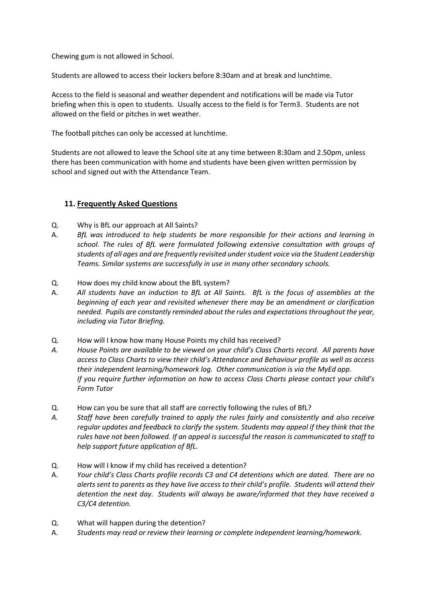Chewing gum is not allowed in School.

Students are allowed to access their lockers before 8:30am and at break and lunchtime.

Access to the field is seasonal and weather dependent and notifications will be made via Tutor briefing when this is open to students. Usually access to the field is for Term3. Students are not allowed on the field or pitches in wet weather.

The football pitches can only be accessed at lunchtime.

Students are not allowed to leave the School site at any time between 8:30am and 2.50pm, unless there has been communication with home and students have been given written permission by school and signed out with the Attendance Team.

### **11. Frequently Asked Questions**

- Q. Why is BfL our approach at All Saints?
- A. *BfL was introduced to help students be more responsible for their actions and learning in school. The rules of BfL were formulated following extensive consultation with groups of students of all ages and are frequently revisited under student voice via the Student Leadership Teams. Similar systems are successfully in use in many other secondary schools.*
- Q. How does my child know about the BfL system?
- A. *All students have an induction to BfL at All Saints. BfL is the focus of assemblies at the beginning of each year and revisited whenever there may be an amendment or clarification needed. Pupils are constantly reminded about the rules and expectations throughout the year, including via Tutor Briefing.*
- Q. How will I know how many House Points my child has received?
- *A. House Points are available to be viewed on your child's Class Charts record. All parents have access to Class Charts to view their child's Attendance and Behaviour profile as well as access their independent learning/homework log. Other communication is via the MyEd app. If you require further information on how to access Class Charts please contact your child's Form Tutor*
- Q. How can you be sure that all staff are correctly following the rules of BfL?
- *A. Staff have been carefully trained to apply the rules fairly and consistently and also receive regular updates and feedback to clarify the system. Students may appeal if they think that the rules have not been followed. If an appeal is successful the reason is communicated to staff to help support future application of BfL.*
- Q. How will I know if my child has received a detention?
- A. *Your child's Class Charts profile records C3 and C4 detentions which are dated. There are no alerts sent to parents as they have live access to their child's profile. Students will attend their detention the next day. Students will always be aware/informed that they have received a C3/C4 detention.*
- Q. What will happen during the detention?
- A. *Students may read or review their learning or complete independent learning/homework.*